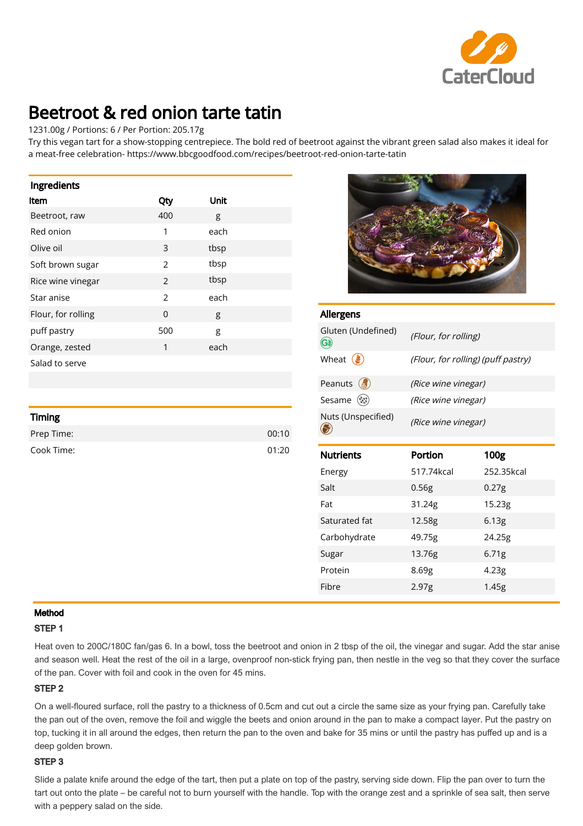

# Beetroot & red onion tarte tatin

## 1231.00g / Portions: 6 / Per Portion: 205.17g

Try this vegan tart for a show-stopping centrepiece. The bold red of beetroot against the vibrant green salad also makes it ideal for a meat-free celebration- https://www.bbcgoodfood.com/recipes/beetroot-red-onion-tarte-tatin

| Ingredients        |               |      |
|--------------------|---------------|------|
| <b>Item</b>        | Qty           | Unit |
| Beetroot, raw      | 400           | g    |
| Red onion          | 1             | each |
| Olive oil          | 3             | tbsp |
| Soft brown sugar   | $\mathcal{P}$ | tbsp |
| Rice wine vinegar  | 2             | tbsp |
| Star anise         | $\mathcal{P}$ | each |
| Flour, for rolling | $\Omega$      | g    |
| puff pastry        | 500           | g    |
| Orange, zested     | 1             | each |
| Salad to serve     |               |      |

| <b>Timing</b> |       |
|---------------|-------|
| Prep Time:    | 00:10 |
| Cook Time:    | 01:20 |



| <b>Allergens</b>                    |                                    |                   |  |
|-------------------------------------|------------------------------------|-------------------|--|
| Gluten (Undefined)<br>GU            | (Flour, for rolling)               |                   |  |
| Wheat $(\xi)$                       | (Flour, for rolling) (puff pastry) |                   |  |
| Peanuts $\left(\frac{1}{2}x\right)$ | (Rice wine vinegar)                |                   |  |
| Sesame (※)                          | (Rice wine vinegar)                |                   |  |
| Nuts (Unspecified)                  | (Rice wine vinegar)                |                   |  |
|                                     |                                    |                   |  |
| <b>Nutrients</b>                    | Portion                            | 100 <sub>g</sub>  |  |
| Energy                              | 517.74kcal                         | 252.35kcal        |  |
| Salt                                | 0.56g                              | 0.27 <sub>g</sub> |  |
| Fat                                 | 31.24g                             | 15.23g            |  |
| Saturated fat                       | 12.58g                             | 6.13 <sub>g</sub> |  |
| Carbohydrate                        | 49.75g                             | 24.25g            |  |
| Sugar                               | 13.76g                             | 6.71 <sub>g</sub> |  |
| Protein                             | 8.69g                              | 4.23 <sub>g</sub> |  |

#### Method

#### STEP 1

Heat oven to 200C/180C fan/gas 6. In a bowl, toss the beetroot and onion in 2 tbsp of the oil, the vinegar and sugar. Add the star anise and season well. Heat the rest of the oil in a large, ovenproof non-stick frying pan, then nestle in the veg so that they cover the surface of the pan. Cover with foil and cook in the oven for 45 mins.

### STEP 2

On a well-floured surface, roll the pastry to a thickness of 0.5cm and cut out a circle the same size as your frying pan. Carefully take the pan out of the oven, remove the foil and wiggle the beets and onion around in the pan to make a compact layer. Put the pastry on top, tucking it in all around the edges, then return the pan to the oven and bake for 35 mins or until the pastry has puffed up and is a deep golden brown.

#### STEP 3

Slide a palate knife around the edge of the tart, then put a plate on top of the pastry, serving side down. Flip the pan over to turn the tart out onto the plate – be careful not to burn yourself with the handle. Top with the orange zest and a sprinkle of sea salt, then serve with a peppery salad on the side.